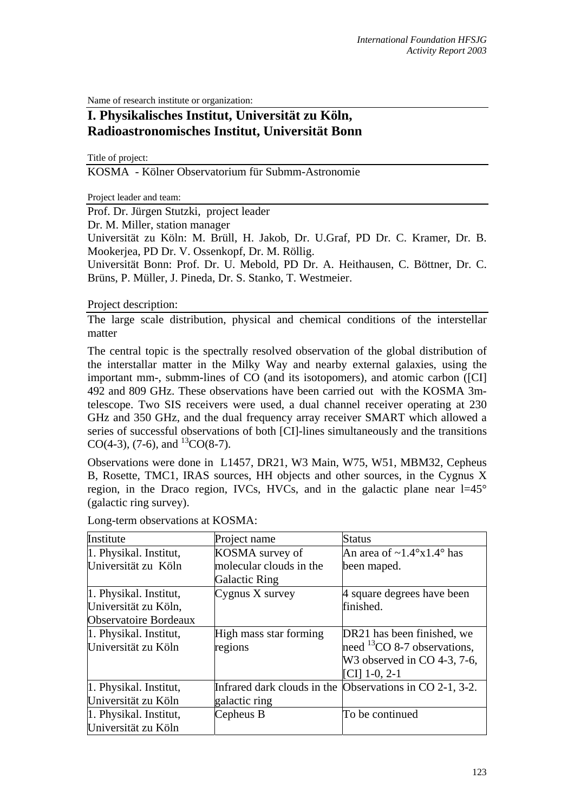Name of research institute or organization:

# **I. Physikalisches Institut, Universität zu Köln, Radioastronomisches Institut, Universität Bonn**

Title of project:

KOSMA - Kölner Observatorium für Submm-Astronomie

Project leader and team:

Prof. Dr. Jürgen Stutzki, project leader

Dr. M. Miller, station manager

Universität zu Köln: M. Brüll, H. Jakob, Dr. U.Graf, PD Dr. C. Kramer, Dr. B. Mookerjea, PD Dr. V. Ossenkopf, Dr. M. Röllig.

Universität Bonn: Prof. Dr. U. Mebold, PD Dr. A. Heithausen, C. Böttner, Dr. C. Brüns, P. Müller, J. Pineda, Dr. S. Stanko, T. Westmeier.

Project description:

The large scale distribution, physical and chemical conditions of the interstellar matter

The central topic is the spectrally resolved observation of the global distribution of the interstallar matter in the Milky Way and nearby external galaxies, using the important mm-, submm-lines of CO (and its isotopomers), and atomic carbon ([CI] 492 and 809 GHz. These observations have been carried out with the KOSMA 3mtelescope. Two SIS receivers were used, a dual channel receiver operating at 230 GHz and 350 GHz, and the dual frequency array receiver SMART which allowed a series of successful observations of both [CI]-lines simultaneously and the transitions CO(4-3), (7-6), and  ${}^{13}$ CO(8-7).

Observations were done in L1457, DR21, W3 Main, W75, W51, MBM32, Cepheus B, Rosette, TMC1, IRAS sources, HH objects and other sources, in the Cygnus X region, in the Draco region, IVCs, HVCs, and in the galactic plane near  $1=45^{\circ}$ (galactic ring survey).

| Institute              | Project name            | Status                                                   |
|------------------------|-------------------------|----------------------------------------------------------|
| 1. Physikal. Institut, | KOSMA survey of         | An area of $\sim 1.4^\circ \text{x}1.4^\circ$ has        |
| Universität zu Köln    | molecular clouds in the | been maped.                                              |
|                        | <b>Galactic Ring</b>    |                                                          |
| 1. Physikal. Institut, | Cygnus $X$ survey       | 4 square degrees have been                               |
| Universität zu Köln,   |                         | finished.                                                |
| Observatoire Bordeaux  |                         |                                                          |
| 1. Physikal. Institut, | High mass star forming  | DR21 has been finished, we                               |
| Universität zu Köln    | regions                 | need ${}^{13}CO$ 8-7 observations,                       |
|                        |                         | W <sub>3</sub> observed in CO 4-3, 7-6,                  |
|                        |                         | $[CI]$ 1-0, 2-1                                          |
| 1. Physikal. Institut, |                         | Infrared dark clouds in the Observations in CO 2-1, 3-2. |
| Universität zu Köln    | galactic ring           |                                                          |
| 1. Physikal. Institut, | Cepheus B               | To be continued                                          |
| Universität zu Köln    |                         |                                                          |

Long-term observations at KOSMA: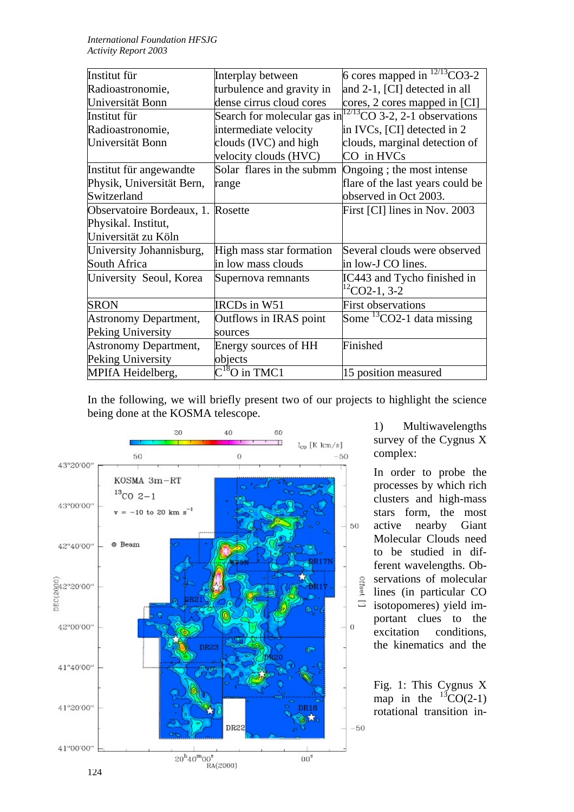| Institut für                      | Interplay between                                 | 6 cores mapped in $^{12/13}$ CO3-2                             |
|-----------------------------------|---------------------------------------------------|----------------------------------------------------------------|
| Radioastronomie,                  | turbulence and gravity in                         | and 2-1, [CI] detected in all                                  |
| Universität Bonn                  | dense cirrus cloud cores                          | cores, 2 cores mapped in [CI]                                  |
| Institut für                      |                                                   | Search for molecular gas $in^{12/13}$ CO 3-2, 2-1 observations |
| Radioastronomie,                  | intermediate velocity                             | in IVCs, [CI] detected in 2                                    |
| Universität Bonn                  | clouds (IVC) and high                             | clouds, marginal detection of                                  |
|                                   | velocity clouds (HVC)                             | CO in HVCs                                                     |
| Institut für angewandte           | Solar flares in the submm                         | Ongoing; the most intense                                      |
| Physik, Universität Bern,         | range                                             | flare of the last years could be                               |
| Switzerland                       |                                                   | observed in Oct 2003.                                          |
| Observatoire Bordeaux, 1. Rosette |                                                   | First [CI] lines in Nov. 2003                                  |
| Physikal. Institut,               |                                                   |                                                                |
| Universität zu Köln               |                                                   |                                                                |
| University Johannisburg,          | High mass star formation                          | Several clouds were observed                                   |
| South Africa                      | in low mass clouds                                | in low-J CO lines.                                             |
| University Seoul, Korea           | Supernova remnants                                | IC443 and Tycho finished in                                    |
|                                   |                                                   | ${}^{12}CO2-1, 3-2$                                            |
| <b>SRON</b>                       | <b>IRCDs</b> in W51                               | <b>First observations</b>                                      |
| <b>Astronomy Department,</b>      | Outflows in IRAS point                            | Some ${}^{13}$ CO2-1 data missing                              |
| Peking University                 | sources                                           |                                                                |
| <b>Astronomy Department,</b>      | Energy sources of HH                              | Finished                                                       |
| Peking University                 | objects                                           |                                                                |
| MPIfA Heidelberg,                 | $\overline{\text{C}}^{\text{I8}}\text{O}$ in TMC1 | 15 position measured                                           |

In the following, we will briefly present two of our projects to highlight the science being done at the KOSMA telescope.



1) Multiwavelengths survey of the Cygnus X complex:

In order to probe the processes by which rich clusters and high-mass stars form, the most active nearby Giant Molecular Clouds need to be studied in different wavelengths. Observations of molecular lines (in particular CO  $\equiv$  isotopomeres) yield important clues to the excitation conditions, the kinematics and the

> Fig. 1: This Cygnus X map in the  $^{13}CO(2-1)$ rotational transition in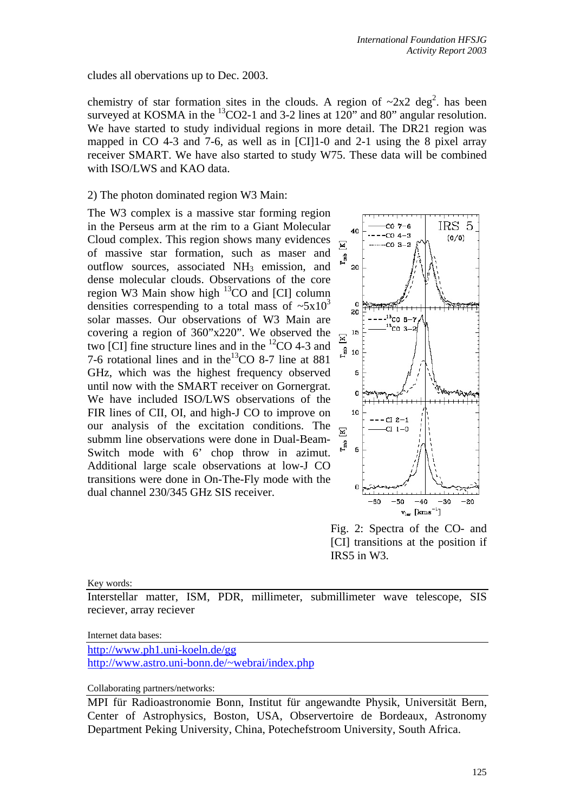cludes all obervations up to Dec. 2003.

chemistry of star formation sites in the clouds. A region of  $\sim 2x^2$  deg<sup>2</sup> has been surveyed at KOSMA in the <sup>13</sup>CO2-1 and 3-2 lines at 120" and 80" angular resolution. We have started to study individual regions in more detail. The DR21 region was mapped in CO 4-3 and 7-6, as well as in [CI]1-0 and 2-1 using the 8 pixel array receiver SMART. We have also started to study W75. These data will be combined with ISO/LWS and KAO data.

# 2) The photon dominated region W3 Main:

The W3 complex is a massive star forming region in the Perseus arm at the rim to a Giant Molecular Cloud complex. This region shows many evidences of massive star formation, such as maser and outflow sources, associated  $NH<sub>3</sub>$  emission, and dense molecular clouds. Observations of the core region W3 Main show high  $^{13}$ CO and [CI] column densities correspending to a total mass of  $\approx 5x10^3$ solar masses. Our observations of W3 Main are covering a region of 360"x220". We observed the two [CI] fine structure lines and in the  ${}^{12}$ CO 4-3 and 7-6 rotational lines and in the  $13^{\circ}$ CO 8-7 line at 881 GHz, which was the highest frequency observed until now with the SMART receiver on Gornergrat. We have included ISO/LWS observations of the FIR lines of CII, OI, and high-J CO to improve on our analysis of the excitation conditions. The submm line observations were done in Dual-Beam-Switch mode with 6' chop throw in azimut. Additional large scale observations at low-J CO transitions were done in On-The-Fly mode with the dual channel 230/345 GHz SIS receiver.



Fig. 2: Spectra of the CO- and [CI] transitions at the position if IRS5 in W3.

### Key words:

Interstellar matter, ISM, PDR, millimeter, submillimeter wave telescope, SIS reciever, array reciever

#### Internet data bases:

<http://www.ph1.uni-koeln.de/gg> <http://www.astro.uni-bonn.de/~webrai/index.php>

Collaborating partners/networks:

MPI für Radioastronomie Bonn, Institut für angewandte Physik, Universität Bern, Center of Astrophysics, Boston, USA, Observertoire de Bordeaux, Astronomy Department Peking University, China, Potechefstroom University, South Africa.